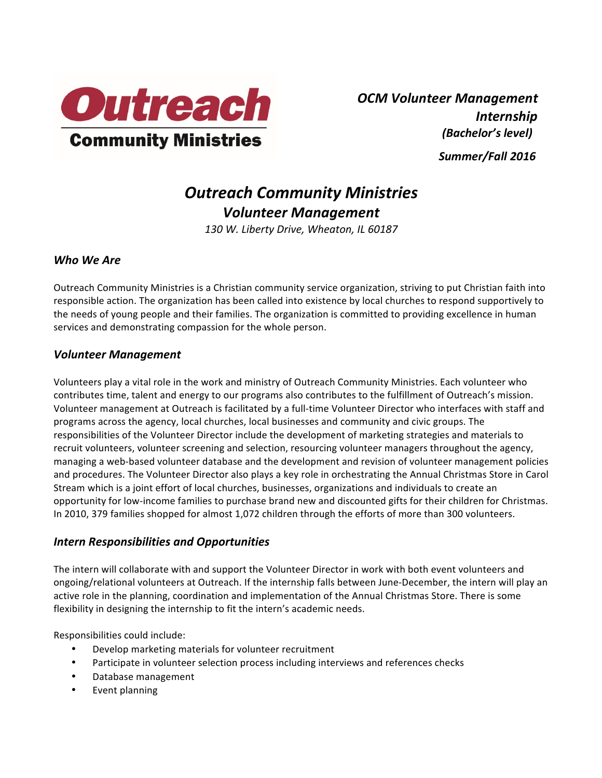

*OCM Volunteer Management Internship (Bachelor's level) Summer/Fall 2016*

# *Outreach Community Ministries Volunteer Management*

*130 W. Liberty Drive, Wheaton, IL 60187*

# *Who We Are*

Outreach Community Ministries is a Christian community service organization, striving to put Christian faith into responsible action. The organization has been called into existence by local churches to respond supportively to the needs of young people and their families. The organization is committed to providing excellence in human services and demonstrating compassion for the whole person.

# *Volunteer Management*

Volunteers play a vital role in the work and ministry of Outreach Community Ministries. Each volunteer who contributes time, talent and energy to our programs also contributes to the fulfillment of Outreach's mission. Volunteer management at Outreach is facilitated by a full-time Volunteer Director who interfaces with staff and programs across the agency, local churches, local businesses and community and civic groups. The responsibilities of the Volunteer Director include the development of marketing strategies and materials to recruit volunteers, volunteer screening and selection, resourcing volunteer managers throughout the agency, managing a web-based volunteer database and the development and revision of volunteer management policies and procedures. The Volunteer Director also plays a key role in orchestrating the Annual Christmas Store in Carol Stream which is a joint effort of local churches, businesses, organizations and individuals to create an opportunity for low-income families to purchase brand new and discounted gifts for their children for Christmas. In 2010, 379 families shopped for almost 1,072 children through the efforts of more than 300 volunteers.

## *Intern Responsibilities and Opportunities*

The intern will collaborate with and support the Volunteer Director in work with both event volunteers and ongoing/relational volunteers at Outreach. If the internship falls between June-December, the intern will play an active role in the planning, coordination and implementation of the Annual Christmas Store. There is some flexibility in designing the internship to fit the intern's academic needs.

Responsibilities could include:

- Develop marketing materials for volunteer recruitment
- Participate in volunteer selection process including interviews and references checks
- Database management
- Event planning